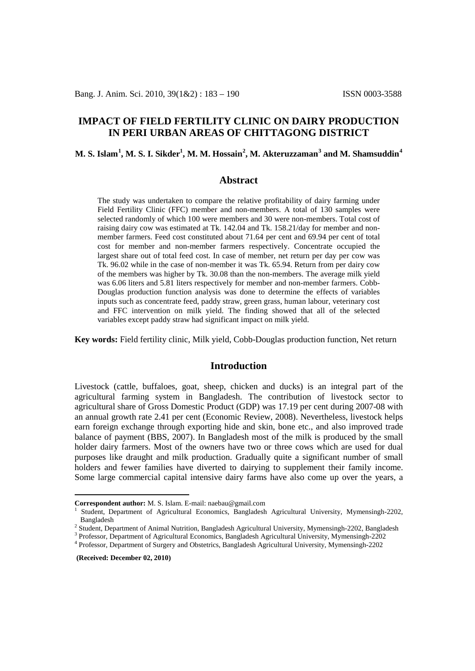# **IMPACT OF FIELD FERTILITY CLINIC ON DAIRY PRODUCTION IN PERI URBAN AREAS OF CHITTAGONG DISTRICT**

## $\mathbf{M}.$  S. Islam $^{1},$  $^{1},$  $^{1},$   $\mathbf{M}.$  S. I. Sikder $^{1},$   $\mathbf{M}.$   $\mathbf{M}.$  Hossain $^{2},$  $^{2},$  $^{2},$   $\mathbf{M}.$  Akteruzzaman $^{3}$  $^{3}$  $^{3}$  and  $\mathbf{M}.$  Shamsuddin $^{4}$  $^{4}$  $^{4}$

## **Abstract**

The study was undertaken to compare the relative profitability of dairy farming under Field Fertility Clinic (FFC) member and non-members. A total of 130 samples were selected randomly of which 100 were members and 30 were non-members. Total cost of raising dairy cow was estimated at Tk. 142.04 and Tk. 158.21/day for member and nonmember farmers. Feed cost constituted about 71.64 per cent and 69.94 per cent of total cost for member and non-member farmers respectively. Concentrate occupied the largest share out of total feed cost. In case of member, net return per day per cow was Tk. 96.02 while in the case of non-member it was Tk. 65.94. Return from per dairy cow of the members was higher by Tk. 30.08 than the non-members. The average milk yield was 6.06 liters and 5.81 liters respectively for member and non-member farmers. Cobb-Douglas production function analysis was done to determine the effects of variables inputs such as concentrate feed, paddy straw, green grass, human labour, veterinary cost and FFC intervention on milk yield. The finding showed that all of the selected variables except paddy straw had significant impact on milk yield.

**Key words:** Field fertility clinic, Milk yield, Cobb-Douglas production function, Net return

## **Introduction**

Livestock (cattle, buffaloes, goat, sheep, chicken and ducks) is an integral part of the agricultural farming system in Bangladesh. The contribution of livestock sector to agricultural share of Gross Domestic Product (GDP) was 17.19 per cent during 2007-08 with an annual growth rate 2.41 per cent (Economic Review, 2008). Nevertheless, livestock helps earn foreign exchange through exporting hide and skin, bone etc., and also improved trade balance of payment (BBS, 2007). In Bangladesh most of the milk is produced by the small holder dairy farmers. Most of the owners have two or three cows which are used for dual purposes like draught and milk production. Gradually quite a significant number of small holders and fewer families have diverted to dairying to supplement their family income. Some large commercial capital intensive dairy farms have also come up over the years, a

 $\overline{a}$ 

<span id="page-0-0"></span>**Correspondent author:** M. S. Islam. E-mail: naebau@gmail.com<br>
<sup>1</sup> Student, Department of Agricultural Economics, Bangladesh Agricultural University, Mymensingh-2202,<br>
Bangladesh

<span id="page-0-2"></span><span id="page-0-1"></span><sup>&</sup>lt;sup>2</sup> Student, Department of Animal Nutrition, Bangladesh Agricultural University, Mymensingh-2202, Bangladesh<br><sup>3</sup> Professor, Department of Agricultural Economics, Bangladesh Agricultural University, Mymensingh-2202<br><sup>4</sup> Prof

<span id="page-0-3"></span>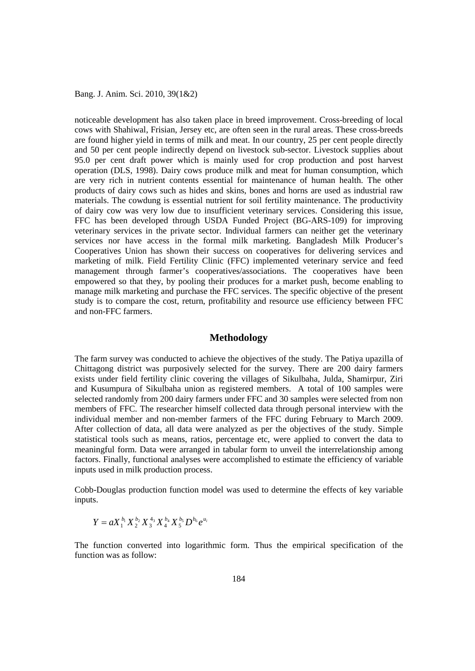noticeable development has also taken place in breed improvement. Cross-breeding of local cows with Shahiwal, Frisian, Jersey etc, are often seen in the rural areas. These cross-breeds are found higher yield in terms of milk and meat. In our country, 25 per cent people directly and 50 per cent people indirectly depend on livestock sub-sector. Livestock supplies about 95.0 per cent draft power which is mainly used for crop production and post harvest operation (DLS, 1998). Dairy cows produce milk and meat for human consumption, which are very rich in nutrient contents essential for maintenance of human health. The other products of dairy cows such as hides and skins, bones and horns are used as industrial raw materials. The cowdung is essential nutrient for soil fertility maintenance. The productivity of dairy cow was very low due to insufficient veterinary services. Considering this issue, FFC has been developed through USDA Funded Project (BG-ARS-109) for improving veterinary services in the private sector. Individual farmers can neither get the veterinary services nor have access in the formal milk marketing. Bangladesh Milk Producer's Cooperatives Union has shown their success on cooperatives for delivering services and marketing of milk. Field Fertility Clinic (FFC) implemented veterinary service and feed management through farmer's cooperatives/associations. The cooperatives have been empowered so that they, by pooling their produces for a market push, become enabling to manage milk marketing and purchase the FFC services. The specific objective of the present study is to compare the cost, return, profitability and resource use efficiency between FFC and non-FFC farmers.

### **Methodology**

The farm survey was conducted to achieve the objectives of the study. The Patiya upazilla of Chittagong district was purposively selected for the survey. There are 200 dairy farmers exists under field fertility clinic covering the villages of Sikulbaha, Julda, Shamirpur, Ziri and Kusumpura of Sikulbaha union as registered members. A total of 100 samples were selected randomly from 200 dairy farmers under FFC and 30 samples were selected from non members of FFC. The researcher himself collected data through personal interview with the individual member and non-member farmers of the FFC during February to March 2009. After collection of data, all data were analyzed as per the objectives of the study. Simple statistical tools such as means, ratios, percentage etc, were applied to convert the data to meaningful form. Data were arranged in tabular form to unveil the interrelationship among factors. Finally, functional analyses were accomplished to estimate the efficiency of variable inputs used in milk production process.

Cobb-Douglas production function model was used to determine the effects of key variable inputs.

$$
Y = aX_1^{b_1}X_2^{b_2}X_3^{4_3}X_4^{b_4}X_5^{b_5}D^{b_6}e^{u_7}
$$

The function converted into logarithmic form. Thus the empirical specification of the function was as follow: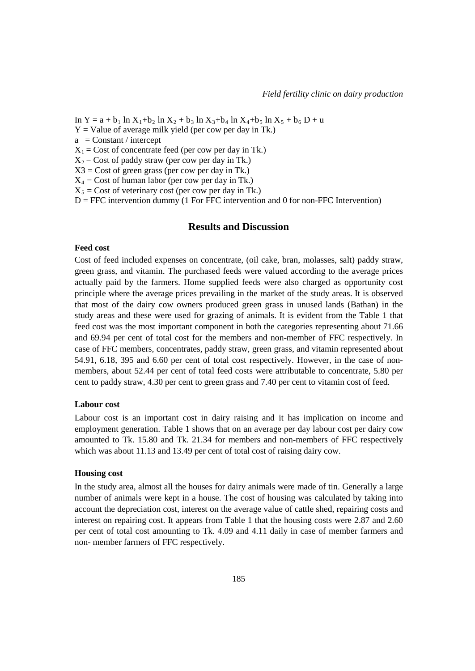In Y = a + b<sub>1</sub> ln X<sub>1</sub>+b<sub>2</sub> ln X<sub>2</sub> + b<sub>3</sub> ln X<sub>3</sub>+b<sub>4</sub> ln X<sub>4</sub>+b<sub>5</sub> ln X<sub>5</sub> + b<sub>6</sub> D + u

- $Y =$  Value of average milk yield (per cow per day in Tk.)
- $a = Constant / intercept$

 $X_1$  = Cost of concentrate feed (per cow per day in Tk.)

 $X_2$  = Cost of paddy straw (per cow per day in Tk.)

 $X3 = \text{Cost of green grass (per cow per day in Tk.)}$ 

 $X_4$  = Cost of human labor (per cow per day in Tk.)

 $X_5$  = Cost of veterinary cost (per cow per day in Tk.)

D = FFC intervention dummy (1 For FFC intervention and 0 for non-FFC Intervention)

## **Results and Discussion**

#### **Feed cost**

Cost of feed included expenses on concentrate, (oil cake, bran, molasses, salt) paddy straw, green grass, and vitamin. The purchased feeds were valued according to the average prices actually paid by the farmers. Home supplied feeds were also charged as opportunity cost principle where the average prices prevailing in the market of the study areas. It is observed that most of the dairy cow owners produced green grass in unused lands (Bathan) in the study areas and these were used for grazing of animals. It is evident from the Table 1 that feed cost was the most important component in both the categories representing about 71.66 and 69.94 per cent of total cost for the members and non-member of FFC respectively. In case of FFC members, concentrates, paddy straw, green grass, and vitamin represented about 54.91, 6.18, 395 and 6.60 per cent of total cost respectively. However, in the case of nonmembers, about 52.44 per cent of total feed costs were attributable to concentrate, 5.80 per cent to paddy straw, 4.30 per cent to green grass and 7.40 per cent to vitamin cost of feed.

### **Labour cost**

Labour cost is an important cost in dairy raising and it has implication on income and employment generation. Table 1 shows that on an average per day labour cost per dairy cow amounted to Tk. 15.80 and Tk. 21.34 for members and non-members of FFC respectively which was about 11.13 and 13.49 per cent of total cost of raising dairy cow.

#### **Housing cost**

In the study area, almost all the houses for dairy animals were made of tin. Generally a large number of animals were kept in a house. The cost of housing was calculated by taking into account the depreciation cost, interest on the average value of cattle shed, repairing costs and interest on repairing cost. It appears from Table 1 that the housing costs were 2.87 and 2.60 per cent of total cost amounting to Tk. 4.09 and 4.11 daily in case of member farmers and non- member farmers of FFC respectively.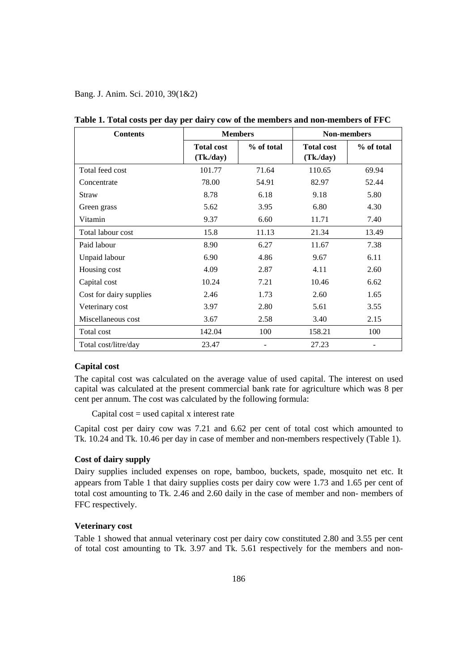| <b>Contents</b>         |                               | <b>Members</b> | <b>Non-members</b>            |                          |  |
|-------------------------|-------------------------------|----------------|-------------------------------|--------------------------|--|
|                         | <b>Total cost</b><br>(Tk/day) | % of total     | <b>Total cost</b><br>(Tk/day) | % of total               |  |
| Total feed cost         | 101.77                        | 71.64          | 110.65                        | 69.94                    |  |
| Concentrate             | 78.00                         | 54.91          | 82.97                         | 52.44                    |  |
| Straw                   | 8.78                          | 6.18           | 9.18                          | 5.80                     |  |
| Green grass             | 5.62                          | 3.95           | 6.80                          | 4.30                     |  |
| Vitamin                 | 9.37                          | 6.60           | 11.71                         | 7.40                     |  |
| Total labour cost       | 15.8                          | 11.13          | 21.34                         | 13.49                    |  |
| Paid labour             | 8.90                          | 6.27           | 11.67                         | 7.38                     |  |
| Unpaid labour           | 6.90                          | 4.86           | 9.67                          | 6.11                     |  |
| Housing cost            | 4.09                          | 2.87           | 4.11                          | 2.60                     |  |
| Capital cost            | 10.24                         | 7.21           | 10.46                         | 6.62                     |  |
| Cost for dairy supplies | 2.46                          | 1.73           | 2.60                          | 1.65                     |  |
| Veterinary cost         | 3.97                          | 2.80           | 5.61                          | 3.55                     |  |
| Miscellaneous cost      | 3.67                          | 2.58           | 3.40                          | 2.15                     |  |
| Total cost              | 142.04                        | 100            | 158.21                        | 100                      |  |
| Total cost/litre/day    | 23.47                         |                | 27.23                         | $\overline{\phantom{0}}$ |  |

**Table 1. Total costs per day per dairy cow of the members and non-members of FFC**

### **Capital cost**

The capital cost was calculated on the average value of used capital. The interest on used capital was calculated at the present commercial bank rate for agriculture which was 8 per cent per annum. The cost was calculated by the following formula:

```
Capital cost = used capital x interest rate
```
Capital cost per dairy cow was 7.21 and 6.62 per cent of total cost which amounted to Tk. 10.24 and Tk. 10.46 per day in case of member and non-members respectively (Table 1).

## **Cost of dairy supply**

Dairy supplies included expenses on rope, bamboo, buckets, spade, mosquito net etc. It appears from Table 1 that dairy supplies costs per dairy cow were 1.73 and 1.65 per cent of total cost amounting to Tk. 2.46 and 2.60 daily in the case of member and non- members of FFC respectively.

### **Veterinary cost**

Table 1 showed that annual veterinary cost per dairy cow constituted 2.80 and 3.55 per cent of total cost amounting to Tk. 3.97 and Tk. 5.61 respectively for the members and non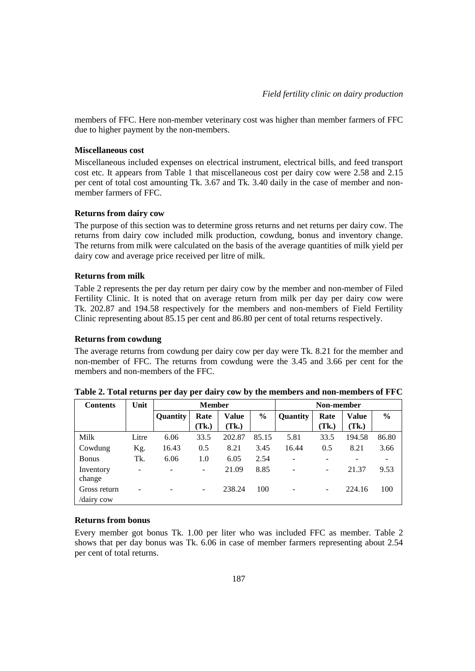members of FFC. Here non-member veterinary cost was higher than member farmers of FFC due to higher payment by the non-members.

#### **Miscellaneous cost**

Miscellaneous included expenses on electrical instrument, electrical bills, and feed transport cost etc. It appears from Table 1 that miscellaneous cost per dairy cow were 2.58 and 2.15 per cent of total cost amounting Tk. 3.67 and Tk. 3.40 daily in the case of member and nonmember farmers of FFC.

### **Returns from dairy cow**

The purpose of this section was to determine gross returns and net returns per dairy cow. The returns from dairy cow included milk production, cowdung, bonus and inventory change. The returns from milk were calculated on the basis of the average quantities of milk yield per dairy cow and average price received per litre of milk.

### **Returns from milk**

Table 2 represents the per day return per dairy cow by the member and non-member of Filed Fertility Clinic. It is noted that on average return from milk per day per dairy cow were Tk. 202.87 and 194.58 respectively for the members and non-members of Field Fertility Clinic representing about 85.15 per cent and 86.80 per cent of total returns respectively.

#### **Returns from cowdung**

The average returns from cowdung per dairy cow per day were Tk. 8.21 for the member and non-member of FFC. The returns from cowdung were the 3.45 and 3.66 per cent for the members and non-members of the FFC.

| <b>Contents</b> | Unit  |          | <b>Member</b>            |        |                 | Non-member               |              |               |       |  |  |
|-----------------|-------|----------|--------------------------|--------|-----------------|--------------------------|--------------|---------------|-------|--|--|
|                 |       | Quantity | Value<br>$\%$<br>Rate    |        | <b>Quantity</b> | Rate                     | <b>Value</b> | $\frac{6}{9}$ |       |  |  |
|                 |       |          | (Tk.)                    | (Tk.)  |                 |                          | (Tk.)        | (Tk.)         |       |  |  |
| Milk            | Litre | 6.06     | 33.5                     | 202.87 | 85.15           | 5.81                     | 33.5         | 194.58        | 86.80 |  |  |
| Cowdung         | Kg.   | 16.43    | 0.5                      | 8.21   | 3.45            | 16.44                    | 0.5          | 8.21          | 3.66  |  |  |
| <b>Bonus</b>    | Tk.   | 6.06     | 1.0                      | 6.05   | 2.54            | $\overline{\phantom{a}}$ |              |               |       |  |  |
| Inventory       | ۰     |          | $\qquad \qquad -$        | 21.09  | 8.85            | ۰                        | -            | 21.37         | 9.53  |  |  |
| change          |       |          |                          |        |                 |                          |              |               |       |  |  |
| Gross return    |       |          | $\overline{\phantom{a}}$ | 238.24 | 100             |                          |              | 224.16        | 100   |  |  |
| /dairy cow      |       |          |                          |        |                 |                          |              |               |       |  |  |

**Table 2. Total returns per day per dairy cow by the members and non-members of FFC**

### **Returns from bonus**

Every member got bonus Tk. 1.00 per liter who was included FFC as member. Table 2 shows that per day bonus was Tk. 6.06 in case of member farmers representing about 2.54 per cent of total returns.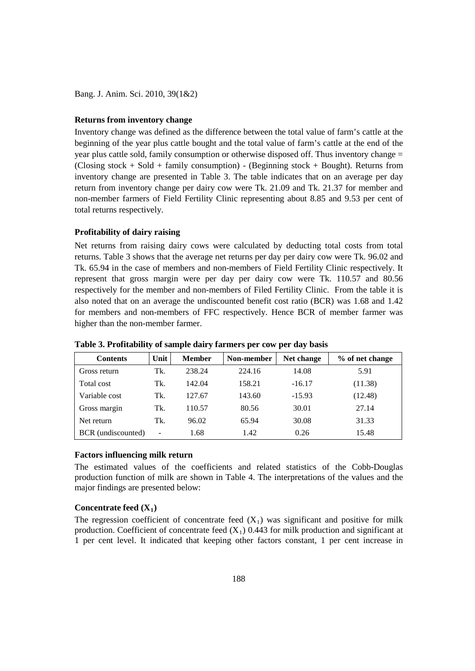#### **Returns from inventory change**

Inventory change was defined as the difference between the total value of farm's cattle at the beginning of the year plus cattle bought and the total value of farm's cattle at the end of the year plus cattle sold, family consumption or otherwise disposed off. Thus inventory change = (Closing stock  $+$  Sold  $+$  family consumption) - (Beginning stock  $+$  Bought). Returns from inventory change are presented in Table 3. The table indicates that on an average per day return from inventory change per dairy cow were Tk. 21.09 and Tk. 21.37 for member and non-member farmers of Field Fertility Clinic representing about 8.85 and 9.53 per cent of total returns respectively.

### **Profitability of dairy raising**

Net returns from raising dairy cows were calculated by deducting total costs from total returns. Table 3 shows that the average net returns per day per dairy cow were Tk. 96.02 and Tk. 65.94 in the case of members and non-members of Field Fertility Clinic respectively. It represent that gross margin were per day per dairy cow were Tk. 110.57 and 80.56 respectively for the member and non-members of Filed Fertility Clinic. From the table it is also noted that on an average the undiscounted benefit cost ratio (BCR) was 1.68 and 1.42 for members and non-members of FFC respectively. Hence BCR of member farmer was higher than the non-member farmer.

| <b>Contents</b>    | Unit | <b>Member</b> | Non-member | Net change | % of net change |
|--------------------|------|---------------|------------|------------|-----------------|
| Gross return       | Tk.  | 238.24        | 224.16     | 14.08      | 5.91            |
| Total cost         | Tk.  | 142.04        | 158.21     | $-16.17$   | (11.38)         |
| Variable cost      | Tk.  | 127.67        | 143.60     | $-15.93$   | (12.48)         |
| Gross margin       | Tk.  | 110.57        | 80.56      | 30.01      | 27.14           |
| Net return         | Tk.  | 96.02         | 65.94      | 30.08      | 31.33           |
| BCR (undiscounted) | ۰    | 1.68          | 1.42       | 0.26       | 15.48           |

**Table 3. Profitability of sample dairy farmers per cow per day basis** 

### **Factors influencing milk return**

The estimated values of the coefficients and related statistics of the Cobb-Douglas production function of milk are shown in Table 4. The interpretations of the values and the major findings are presented below:

## Concentrate feed  $(X_1)$

The regression coefficient of concentrate feed  $(X_1)$  was significant and positive for milk production. Coefficient of concentrate feed  $(X_1)$  0.443 for milk production and significant at 1 per cent level. It indicated that keeping other factors constant, 1 per cent increase in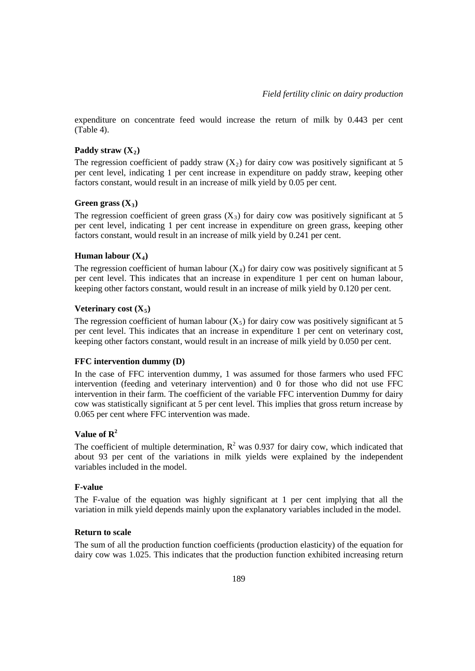expenditure on concentrate feed would increase the return of milk by 0.443 per cent (Table 4).

### Paddy straw  $(X_2)$

The regression coefficient of paddy straw  $(X<sub>2</sub>)$  for dairy cow was positively significant at 5 per cent level, indicating 1 per cent increase in expenditure on paddy straw, keeping other factors constant, would result in an increase of milk yield by 0.05 per cent.

#### Green grass  $(X_3)$

The regression coefficient of green grass  $(X_3)$  for dairy cow was positively significant at 5 per cent level, indicating 1 per cent increase in expenditure on green grass, keeping other factors constant, would result in an increase of milk yield by 0.241 per cent.

#### **Human labour**  $(X_4)$

The regression coefficient of human labour  $(X_4)$  for dairy cow was positively significant at 5 per cent level. This indicates that an increase in expenditure 1 per cent on human labour, keeping other factors constant, would result in an increase of milk yield by 0.120 per cent.

### Veterinary cost  $(X_5)$

The regression coefficient of human labour  $(X_5)$  for dairy cow was positively significant at 5 per cent level. This indicates that an increase in expenditure 1 per cent on veterinary cost, keeping other factors constant, would result in an increase of milk yield by 0.050 per cent.

#### **FFC intervention dummy (D)**

In the case of FFC intervention dummy, 1 was assumed for those farmers who used FFC intervention (feeding and veterinary intervention) and 0 for those who did not use FFC intervention in their farm. The coefficient of the variable FFC intervention Dummy for dairy cow was statistically significant at 5 per cent level. This implies that gross return increase by 0.065 per cent where FFC intervention was made.

## **Value of R2**

The coefficient of multiple determination,  $R^2$  was 0.937 for dairy cow, which indicated that about 93 per cent of the variations in milk yields were explained by the independent variables included in the model.

### **F-value**

The F-value of the equation was highly significant at 1 per cent implying that all the variation in milk yield depends mainly upon the explanatory variables included in the model.

### **Return to scale**

The sum of all the production function coefficients (production elasticity) of the equation for dairy cow was 1.025. This indicates that the production function exhibited increasing return